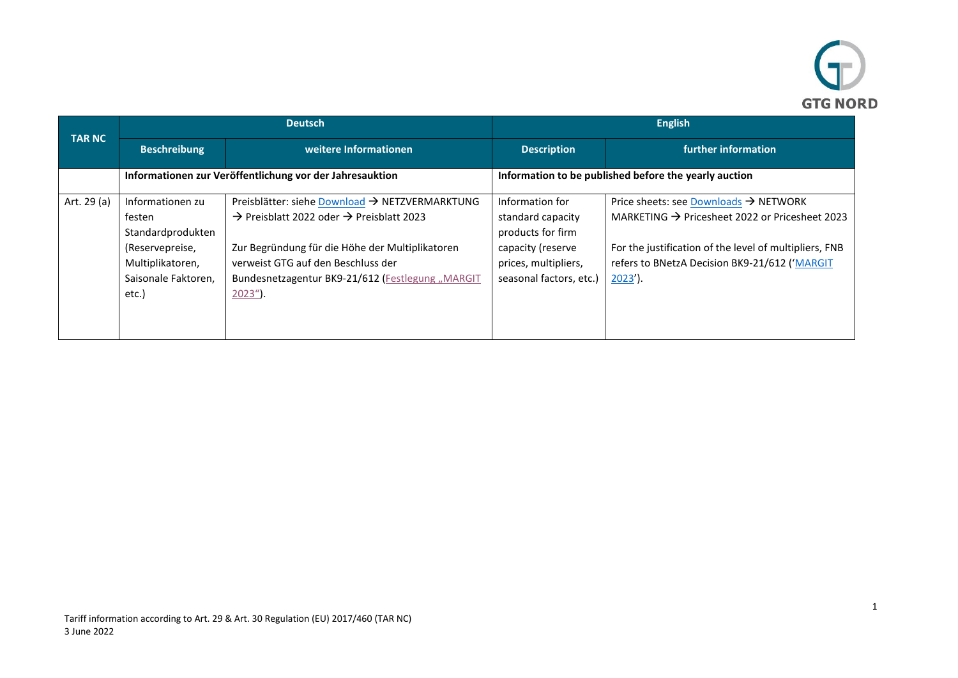

| <b>TAR NC</b> | <b>Deutsch</b>                                                                                                         |                                                                                                                                                                                                                                                                               | <b>English</b>                                                                                                                    |                                                                                                                                                                                                                                          |
|---------------|------------------------------------------------------------------------------------------------------------------------|-------------------------------------------------------------------------------------------------------------------------------------------------------------------------------------------------------------------------------------------------------------------------------|-----------------------------------------------------------------------------------------------------------------------------------|------------------------------------------------------------------------------------------------------------------------------------------------------------------------------------------------------------------------------------------|
|               | <b>Beschreibung</b>                                                                                                    | weitere Informationen                                                                                                                                                                                                                                                         | <b>Description</b>                                                                                                                | further information                                                                                                                                                                                                                      |
|               |                                                                                                                        | Informationen zur Veröffentlichung vor der Jahresauktion                                                                                                                                                                                                                      |                                                                                                                                   | Information to be published before the yearly auction                                                                                                                                                                                    |
| Art. 29 (a)   | Informationen zu<br>festen<br>Standardprodukten<br>(Reservepreise,<br>Multiplikatoren,<br>Saisonale Faktoren,<br>etc.) | Preisblätter: siehe Download → NETZVERMARKTUNG<br>$\rightarrow$ Preisblatt 2022 oder $\rightarrow$ Preisblatt 2023<br>Zur Begründung für die Höhe der Multiplikatoren<br>verweist GTG auf den Beschluss der<br>Bundesnetzagentur BK9-21/612 (Festlegung "MARGIT<br>$2023$ "). | Information for<br>standard capacity<br>products for firm<br>capacity (reserve<br>prices, multipliers,<br>seasonal factors, etc.) | Price sheets: see Downloads $\rightarrow$ NETWORK<br>MARKETING $\rightarrow$ Pricesheet 2022 or Pricesheet 2023<br>For the justification of the level of multipliers, FNB<br>refers to BNetzA Decision BK9-21/612 ('MARGIT<br>$2023'$ ). |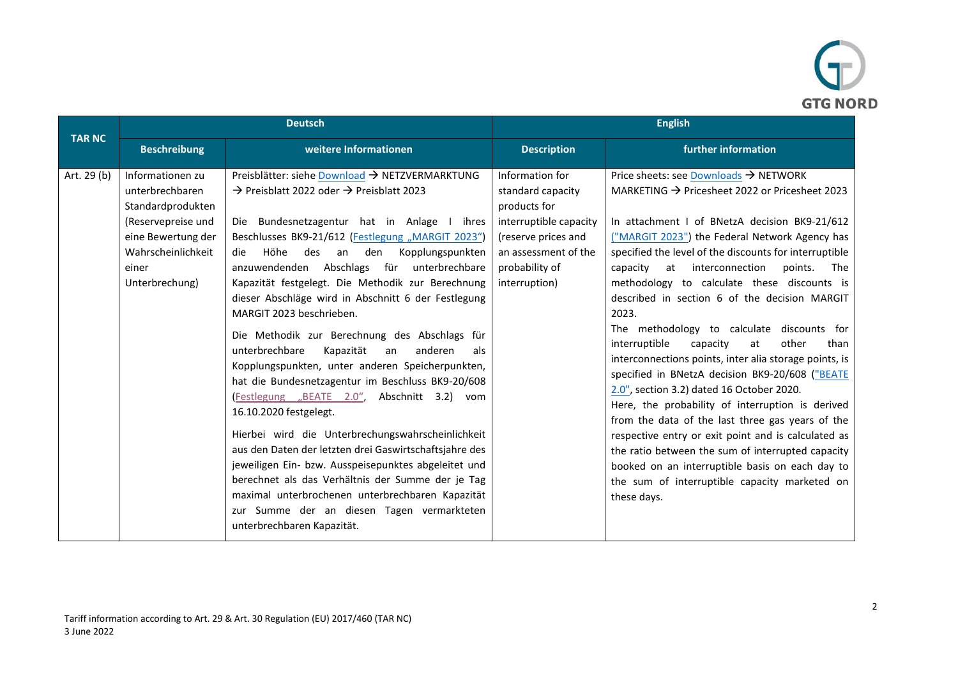

|               | <b>Deutsch</b>                                                                                                                                        |                                                                                                                                                                                                                                                                                                                                                                                                                                                                                                                                                                                                                                                                                                                                                                                                                                                                                                                                                                                                                                                                                                                     | <b>English</b>                                                                                                                                                   |                                                                                                                                                                                                                                                                                                                                                                                                                                                                                                                                                                                                                                                                                                                                                                                                                                                                                                                                                                                                                                              |
|---------------|-------------------------------------------------------------------------------------------------------------------------------------------------------|---------------------------------------------------------------------------------------------------------------------------------------------------------------------------------------------------------------------------------------------------------------------------------------------------------------------------------------------------------------------------------------------------------------------------------------------------------------------------------------------------------------------------------------------------------------------------------------------------------------------------------------------------------------------------------------------------------------------------------------------------------------------------------------------------------------------------------------------------------------------------------------------------------------------------------------------------------------------------------------------------------------------------------------------------------------------------------------------------------------------|------------------------------------------------------------------------------------------------------------------------------------------------------------------|----------------------------------------------------------------------------------------------------------------------------------------------------------------------------------------------------------------------------------------------------------------------------------------------------------------------------------------------------------------------------------------------------------------------------------------------------------------------------------------------------------------------------------------------------------------------------------------------------------------------------------------------------------------------------------------------------------------------------------------------------------------------------------------------------------------------------------------------------------------------------------------------------------------------------------------------------------------------------------------------------------------------------------------------|
| <b>TAR NC</b> | <b>Beschreibung</b>                                                                                                                                   | weitere Informationen                                                                                                                                                                                                                                                                                                                                                                                                                                                                                                                                                                                                                                                                                                                                                                                                                                                                                                                                                                                                                                                                                               | <b>Description</b>                                                                                                                                               | further information                                                                                                                                                                                                                                                                                                                                                                                                                                                                                                                                                                                                                                                                                                                                                                                                                                                                                                                                                                                                                          |
| Art. 29 (b)   | Informationen zu<br>unterbrechbaren<br>Standardprodukten<br>(Reservepreise und<br>eine Bewertung der<br>Wahrscheinlichkeit<br>einer<br>Unterbrechung) | Preisblätter: siehe Download → NETZVERMARKTUNG<br>$\rightarrow$ Preisblatt 2022 oder $\rightarrow$ Preisblatt 2023<br>Die Bundesnetzagentur hat in Anlage I ihres<br>Beschlusses BK9-21/612 (Festlegung "MARGIT 2023")<br>Höhe des an<br>den<br>Kopplungspunkten<br>die<br>anzuwendenden Abschlags für unterbrechbare<br>Kapazität festgelegt. Die Methodik zur Berechnung<br>dieser Abschläge wird in Abschnitt 6 der Festlegung<br>MARGIT 2023 beschrieben.<br>Die Methodik zur Berechnung des Abschlags für<br>unterbrechbare<br>Kapazität<br>anderen<br>an<br>als<br>Kopplungspunkten, unter anderen Speicherpunkten,<br>hat die Bundesnetzagentur im Beschluss BK9-20/608<br>(Festlegung "BEATE 2.0", Abschnitt 3.2) vom<br>16.10.2020 festgelegt.<br>Hierbei wird die Unterbrechungswahrscheinlichkeit<br>aus den Daten der letzten drei Gaswirtschaftsjahre des<br>jeweiligen Ein- bzw. Ausspeisepunktes abgeleitet und<br>berechnet als das Verhältnis der Summe der je Tag<br>maximal unterbrochenen unterbrechbaren Kapazität<br>zur Summe der an diesen Tagen vermarkteten<br>unterbrechbaren Kapazität. | Information for<br>standard capacity<br>products for<br>interruptible capacity<br>(reserve prices and<br>an assessment of the<br>probability of<br>interruption) | Price sheets: see Downloads $\rightarrow$ NETWORK<br>MARKETING $\rightarrow$ Pricesheet 2022 or Pricesheet 2023<br>In attachment I of BNetzA decision BK9-21/612<br>("MARGIT 2023") the Federal Network Agency has<br>specified the level of the discounts for interruptible<br>at interconnection<br>capacity<br>points.<br>The<br>methodology to calculate these discounts is<br>described in section 6 of the decision MARGIT<br>2023.<br>The methodology to calculate discounts for<br>interruptible<br>capacity<br>than<br>at<br>other<br>interconnections points, inter alia storage points, is<br>specified in BNetzA decision BK9-20/608 ("BEATE<br>2.0", section 3.2) dated 16 October 2020.<br>Here, the probability of interruption is derived<br>from the data of the last three gas years of the<br>respective entry or exit point and is calculated as<br>the ratio between the sum of interrupted capacity<br>booked on an interruptible basis on each day to<br>the sum of interruptible capacity marketed on<br>these days. |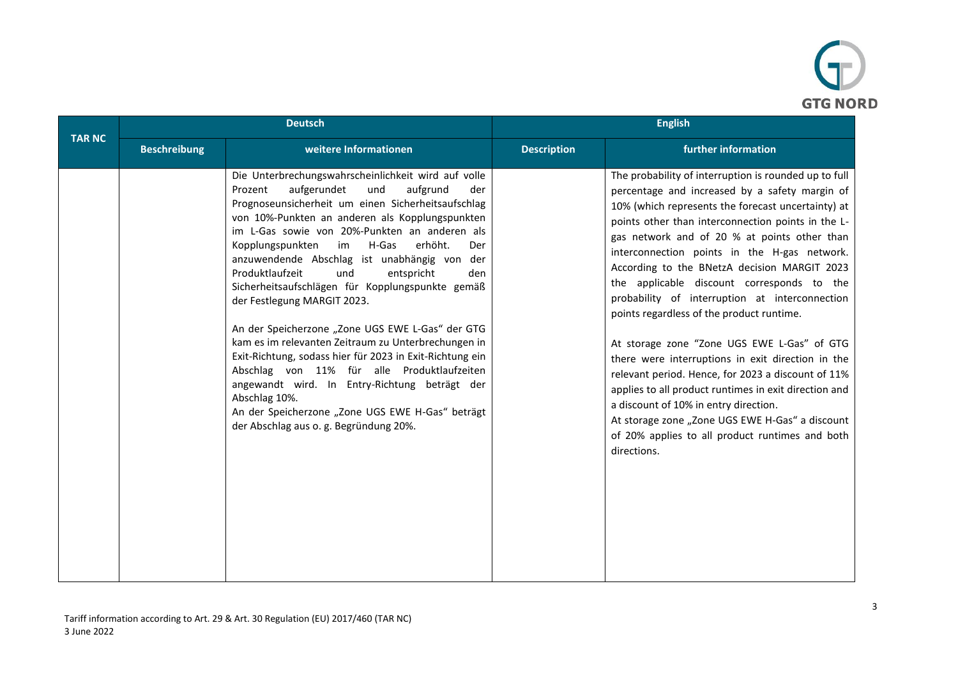

|               | <b>Deutsch</b>      |                                                                                                                                                                                                                                                                                                                                                                                                                                                                                                                                                                                                                                                                                                                                                                                                                                                                                                | <b>English</b>     |                                                                                                                                                                                                                                                                                                                                                                                                                                                                                                                                                                                                                                                                                                                                                                                                                                                                                                   |
|---------------|---------------------|------------------------------------------------------------------------------------------------------------------------------------------------------------------------------------------------------------------------------------------------------------------------------------------------------------------------------------------------------------------------------------------------------------------------------------------------------------------------------------------------------------------------------------------------------------------------------------------------------------------------------------------------------------------------------------------------------------------------------------------------------------------------------------------------------------------------------------------------------------------------------------------------|--------------------|---------------------------------------------------------------------------------------------------------------------------------------------------------------------------------------------------------------------------------------------------------------------------------------------------------------------------------------------------------------------------------------------------------------------------------------------------------------------------------------------------------------------------------------------------------------------------------------------------------------------------------------------------------------------------------------------------------------------------------------------------------------------------------------------------------------------------------------------------------------------------------------------------|
| <b>TAR NC</b> | <b>Beschreibung</b> | weitere Informationen                                                                                                                                                                                                                                                                                                                                                                                                                                                                                                                                                                                                                                                                                                                                                                                                                                                                          | <b>Description</b> | further information                                                                                                                                                                                                                                                                                                                                                                                                                                                                                                                                                                                                                                                                                                                                                                                                                                                                               |
|               |                     | Die Unterbrechungswahrscheinlichkeit wird auf volle<br>aufgerundet<br>und<br>aufgrund<br>Prozent<br>der<br>Prognoseunsicherheit um einen Sicherheitsaufschlag<br>von 10%-Punkten an anderen als Kopplungspunkten<br>im L-Gas sowie von 20%-Punkten an anderen als<br>H-Gas<br>erhöht.<br>Kopplungspunkten<br>im<br>Der<br>anzuwendende Abschlag ist unabhängig von der<br>Produktlaufzeit<br>und<br>entspricht<br>den<br>Sicherheitsaufschlägen für Kopplungspunkte gemäß<br>der Festlegung MARGIT 2023.<br>An der Speicherzone "Zone UGS EWE L-Gas" der GTG<br>kam es im relevanten Zeitraum zu Unterbrechungen in<br>Exit-Richtung, sodass hier für 2023 in Exit-Richtung ein<br>Abschlag von 11% für alle Produktlaufzeiten<br>angewandt wird. In Entry-Richtung beträgt der<br>Abschlag 10%.<br>An der Speicherzone "Zone UGS EWE H-Gas" beträgt<br>der Abschlag aus o. g. Begründung 20%. |                    | The probability of interruption is rounded up to full<br>percentage and increased by a safety margin of<br>10% (which represents the forecast uncertainty) at<br>points other than interconnection points in the L-<br>gas network and of 20 % at points other than<br>interconnection points in the H-gas network.<br>According to the BNetzA decision MARGIT 2023<br>the applicable discount corresponds to the<br>probability of interruption at interconnection<br>points regardless of the product runtime.<br>At storage zone "Zone UGS EWE L-Gas" of GTG<br>there were interruptions in exit direction in the<br>relevant period. Hence, for 2023 a discount of 11%<br>applies to all product runtimes in exit direction and<br>a discount of 10% in entry direction.<br>At storage zone "Zone UGS EWE H-Gas" a discount<br>of 20% applies to all product runtimes and both<br>directions. |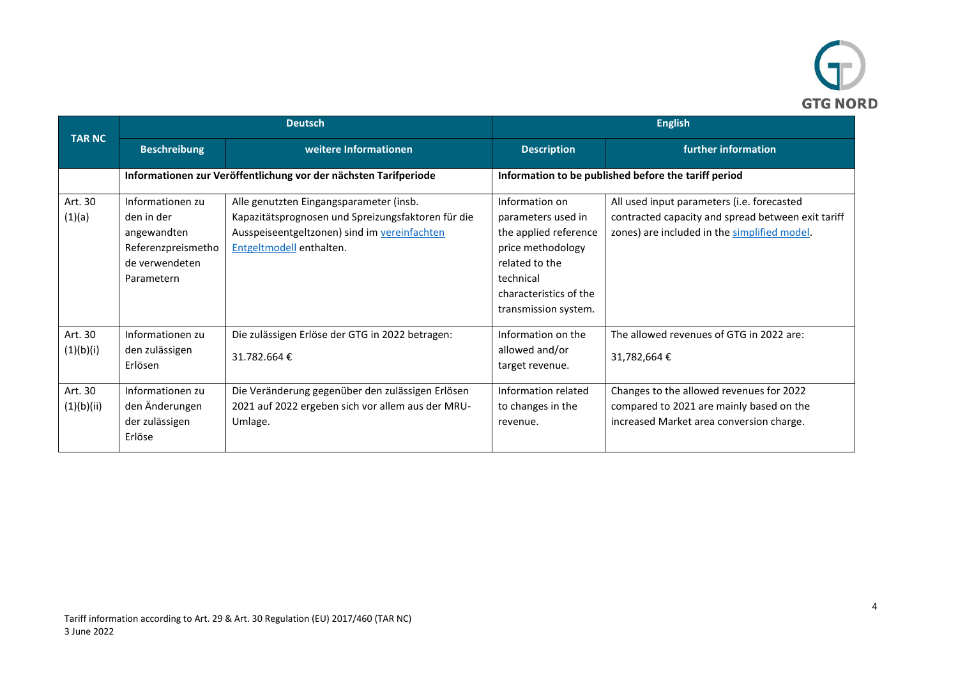

|                       | <b>Deutsch</b>                                                                                      |                                                                                                                                                                           | <b>English</b>                                                                                                                                                      |                                                                                                                                                  |
|-----------------------|-----------------------------------------------------------------------------------------------------|---------------------------------------------------------------------------------------------------------------------------------------------------------------------------|---------------------------------------------------------------------------------------------------------------------------------------------------------------------|--------------------------------------------------------------------------------------------------------------------------------------------------|
| <b>TAR NC</b>         | <b>Beschreibung</b>                                                                                 | weitere Informationen                                                                                                                                                     | <b>Description</b>                                                                                                                                                  | further information                                                                                                                              |
|                       |                                                                                                     | Informationen zur Veröffentlichung vor der nächsten Tarifperiode                                                                                                          |                                                                                                                                                                     | Information to be published before the tariff period                                                                                             |
| Art. 30<br>(1)(a)     | Informationen zu<br>den in der<br>angewandten<br>Referenzpreismetho<br>de verwendeten<br>Parametern | Alle genutzten Eingangsparameter (insb.<br>Kapazitätsprognosen und Spreizungsfaktoren für die<br>Ausspeiseentgeltzonen) sind im vereinfachten<br>Entgeltmodell enthalten. | Information on<br>parameters used in<br>the applied reference<br>price methodology<br>related to the<br>technical<br>characteristics of the<br>transmission system. | All used input parameters (i.e. forecasted<br>contracted capacity and spread between exit tariff<br>zones) are included in the simplified model. |
| Art. 30<br>(1)(b)(i)  | Informationen zu<br>den zulässigen<br>Erlösen                                                       | Die zulässigen Erlöse der GTG in 2022 betragen:<br>31.782.664€                                                                                                            | Information on the<br>allowed and/or<br>target revenue.                                                                                                             | The allowed revenues of GTG in 2022 are:<br>31,782,664€                                                                                          |
| Art. 30<br>(1)(b)(ii) | Informationen zu<br>den Änderungen<br>der zulässigen<br>Erlöse                                      | Die Veränderung gegenüber den zulässigen Erlösen<br>2021 auf 2022 ergeben sich vor allem aus der MRU-<br>Umlage.                                                          | Information related<br>to changes in the<br>revenue.                                                                                                                | Changes to the allowed revenues for 2022<br>compared to 2021 are mainly based on the<br>increased Market area conversion charge.                 |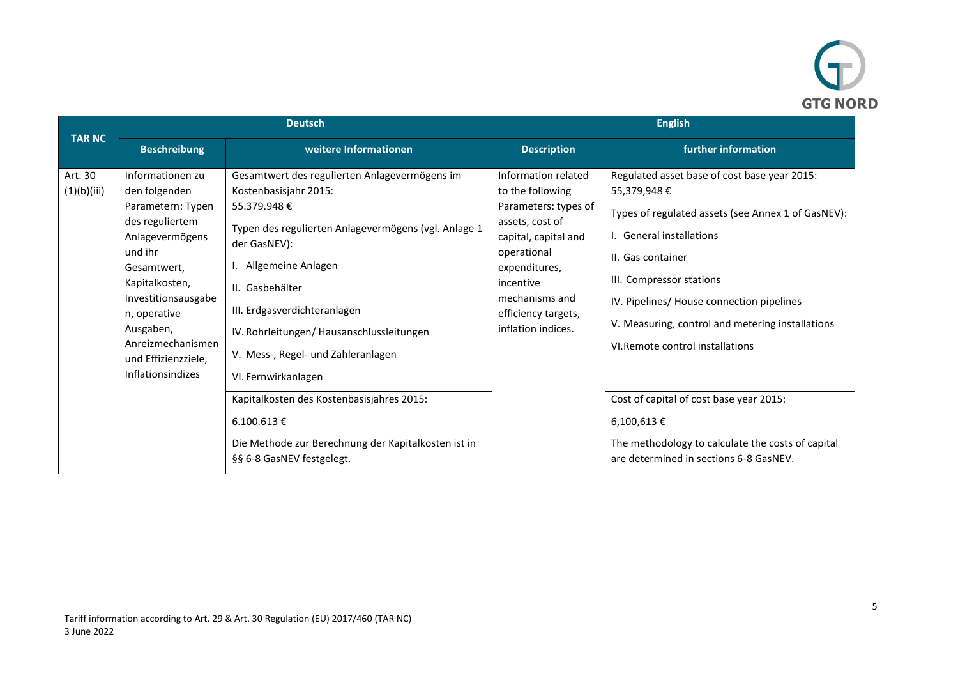

|                        | <b>Deutsch</b>                                                                                                                                                                                                                                                       |                                                                                                                                                                                                                                                                                                                                                                                                                                                                                                      | <b>English</b>                                                                                                                                                                                                         |                                                                                                                                                                                                                                                                                                                                                                                                                                                                                                     |
|------------------------|----------------------------------------------------------------------------------------------------------------------------------------------------------------------------------------------------------------------------------------------------------------------|------------------------------------------------------------------------------------------------------------------------------------------------------------------------------------------------------------------------------------------------------------------------------------------------------------------------------------------------------------------------------------------------------------------------------------------------------------------------------------------------------|------------------------------------------------------------------------------------------------------------------------------------------------------------------------------------------------------------------------|-----------------------------------------------------------------------------------------------------------------------------------------------------------------------------------------------------------------------------------------------------------------------------------------------------------------------------------------------------------------------------------------------------------------------------------------------------------------------------------------------------|
| <b>TAR NC</b>          | <b>Beschreibung</b>                                                                                                                                                                                                                                                  | weitere Informationen                                                                                                                                                                                                                                                                                                                                                                                                                                                                                | <b>Description</b>                                                                                                                                                                                                     | further information                                                                                                                                                                                                                                                                                                                                                                                                                                                                                 |
| Art. 30<br>(1)(b)(iii) | Informationen zu<br>den folgenden<br>Parametern: Typen<br>des reguliertem<br>Anlagevermögens<br>und ihr<br>Gesamtwert,<br>Kapitalkosten,<br>Investitionsausgabe<br>n, operative<br>Ausgaben,<br>Anreizmechanismen<br>und Effizienzziele,<br><b>Inflationsindizes</b> | Gesamtwert des regulierten Anlagevermögens im<br>Kostenbasisjahr 2015:<br>55.379.948€<br>Typen des regulierten Anlagevermögens (vgl. Anlage 1<br>der GasNEV):<br>Allgemeine Anlagen<br>II. Gasbehälter<br>III. Erdgasverdichteranlagen<br>IV. Rohrleitungen/ Hausanschlussleitungen<br>V. Mess-, Regel- und Zähleranlagen<br>VI. Fernwirkanlagen<br>Kapitalkosten des Kostenbasisjahres 2015:<br>$6.100.613 \in$<br>Die Methode zur Berechnung der Kapitalkosten ist in<br>§§ 6-8 GasNEV festgelegt. | Information related<br>to the following<br>Parameters: types of<br>assets, cost of<br>capital, capital and<br>operational<br>expenditures,<br>incentive<br>mechanisms and<br>efficiency targets,<br>inflation indices. | Regulated asset base of cost base year 2015:<br>55,379,948€<br>Types of regulated assets (see Annex 1 of GasNEV):<br>I. General installations<br>II. Gas container<br>III. Compressor stations<br>IV. Pipelines/ House connection pipelines<br>V. Measuring, control and metering installations<br>VI. Remote control installations<br>Cost of capital of cost base year 2015:<br>$6,100,613 \notin$<br>The methodology to calculate the costs of capital<br>are determined in sections 6-8 GasNEV. |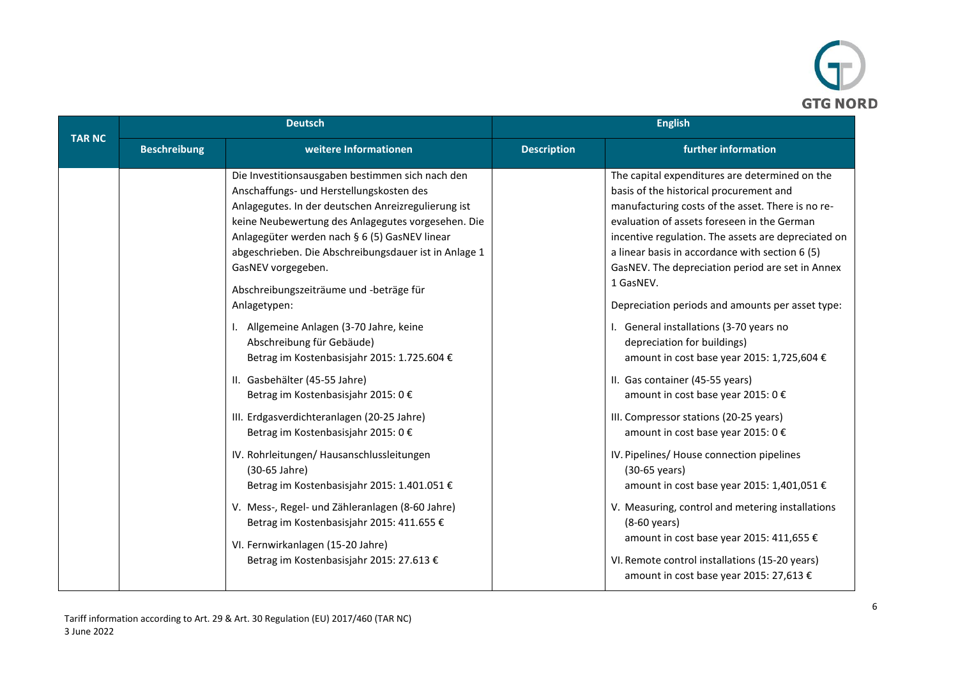

|               |                     | <b>Deutsch</b>                                                                                                                                                                                                                                                                                                                                                                                                                                                                                                                                                                                                                                                                                                                                                                                                                                                                                                                                                                       | <b>English</b>     |                                                                                                                                                                                                                                                                                                                                                                                                                                                                                                                                                                                                                                                                                                                                                                                                                                                                                                                                                                                                                                                  |
|---------------|---------------------|--------------------------------------------------------------------------------------------------------------------------------------------------------------------------------------------------------------------------------------------------------------------------------------------------------------------------------------------------------------------------------------------------------------------------------------------------------------------------------------------------------------------------------------------------------------------------------------------------------------------------------------------------------------------------------------------------------------------------------------------------------------------------------------------------------------------------------------------------------------------------------------------------------------------------------------------------------------------------------------|--------------------|--------------------------------------------------------------------------------------------------------------------------------------------------------------------------------------------------------------------------------------------------------------------------------------------------------------------------------------------------------------------------------------------------------------------------------------------------------------------------------------------------------------------------------------------------------------------------------------------------------------------------------------------------------------------------------------------------------------------------------------------------------------------------------------------------------------------------------------------------------------------------------------------------------------------------------------------------------------------------------------------------------------------------------------------------|
| <b>TAR NC</b> | <b>Beschreibung</b> | weitere Informationen                                                                                                                                                                                                                                                                                                                                                                                                                                                                                                                                                                                                                                                                                                                                                                                                                                                                                                                                                                | <b>Description</b> | further information                                                                                                                                                                                                                                                                                                                                                                                                                                                                                                                                                                                                                                                                                                                                                                                                                                                                                                                                                                                                                              |
|               |                     | Die Investitionsausgaben bestimmen sich nach den<br>Anschaffungs- und Herstellungskosten des<br>Anlagegutes. In der deutschen Anreizregulierung ist<br>keine Neubewertung des Anlagegutes vorgesehen. Die<br>Anlagegüter werden nach § 6 (5) GasNEV linear<br>abgeschrieben. Die Abschreibungsdauer ist in Anlage 1<br>GasNEV vorgegeben.<br>Abschreibungszeiträume und -beträge für<br>Anlagetypen:<br>Allgemeine Anlagen (3-70 Jahre, keine<br>Abschreibung für Gebäude)<br>Betrag im Kostenbasisjahr 2015: 1.725.604 €<br>II. Gasbehälter (45-55 Jahre)<br>Betrag im Kostenbasisjahr 2015: 0 €<br>III. Erdgasverdichteranlagen (20-25 Jahre)<br>Betrag im Kostenbasisjahr 2015: 0 €<br>IV. Rohrleitungen/ Hausanschlussleitungen<br>(30-65 Jahre)<br>Betrag im Kostenbasisjahr 2015: 1.401.051 €<br>V. Mess-, Regel- und Zähleranlagen (8-60 Jahre)<br>Betrag im Kostenbasisjahr 2015: 411.655 €<br>VI. Fernwirkanlagen (15-20 Jahre)<br>Betrag im Kostenbasisjahr 2015: 27.613 € |                    | The capital expenditures are determined on the<br>basis of the historical procurement and<br>manufacturing costs of the asset. There is no re-<br>evaluation of assets foreseen in the German<br>incentive regulation. The assets are depreciated on<br>a linear basis in accordance with section 6 (5)<br>GasNEV. The depreciation period are set in Annex<br>1 GasNEV.<br>Depreciation periods and amounts per asset type:<br>I. General installations (3-70 years no<br>depreciation for buildings)<br>amount in cost base year 2015: 1,725,604 €<br>II. Gas container (45-55 years)<br>amount in cost base year 2015: 0 €<br>III. Compressor stations (20-25 years)<br>amount in cost base year 2015: 0 €<br>IV. Pipelines/ House connection pipelines<br>(30-65 years)<br>amount in cost base year 2015: 1,401,051 €<br>V. Measuring, control and metering installations<br>$(8-60 \text{ years})$<br>amount in cost base year 2015: 411,655 €<br>VI. Remote control installations (15-20 years)<br>amount in cost base year 2015: 27,613 € |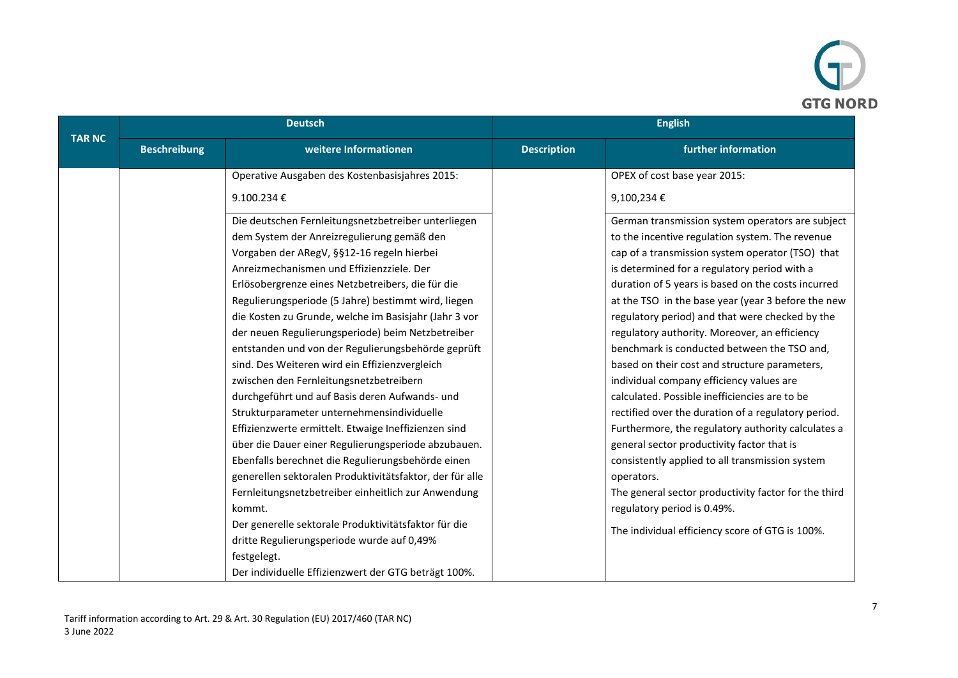

|               |                     | <b>Deutsch</b>                                           | <b>English</b>     |                                                      |
|---------------|---------------------|----------------------------------------------------------|--------------------|------------------------------------------------------|
| <b>TAR NC</b> | <b>Beschreibung</b> | weitere Informationen                                    | <b>Description</b> | further information                                  |
|               |                     | Operative Ausgaben des Kostenbasisjahres 2015:           |                    | OPEX of cost base year 2015:                         |
|               |                     | 9.100.234€                                               |                    | 9,100,234€                                           |
|               |                     | Die deutschen Fernleitungsnetzbetreiber unterliegen      |                    | German transmission system operators are subject     |
|               |                     | dem System der Anreizregulierung gemäß den               |                    | to the incentive regulation system. The revenue      |
|               |                     | Vorgaben der ARegV, §§12-16 regeln hierbei               |                    | cap of a transmission system operator (TSO) that     |
|               |                     | Anreizmechanismen und Effizienzziele. Der                |                    | is determined for a regulatory period with a         |
|               |                     | Erlösobergrenze eines Netzbetreibers, die für die        |                    | duration of 5 years is based on the costs incurred   |
|               |                     | Regulierungsperiode (5 Jahre) bestimmt wird, liegen      |                    | at the TSO in the base year (year 3 before the new   |
|               |                     | die Kosten zu Grunde, welche im Basisjahr (Jahr 3 vor    |                    | regulatory period) and that were checked by the      |
|               |                     | der neuen Regulierungsperiode) beim Netzbetreiber        |                    | regulatory authority. Moreover, an efficiency        |
|               |                     | entstanden und von der Regulierungsbehörde geprüft       |                    | benchmark is conducted between the TSO and,          |
|               |                     | sind. Des Weiteren wird ein Effizienzvergleich           |                    | based on their cost and structure parameters,        |
|               |                     | zwischen den Fernleitungsnetzbetreibern                  |                    | individual company efficiency values are             |
|               |                     | durchgeführt und auf Basis deren Aufwands- und           |                    | calculated. Possible inefficiencies are to be        |
|               |                     | Strukturparameter unternehmensindividuelle               |                    | rectified over the duration of a regulatory period.  |
|               |                     | Effizienzwerte ermittelt. Etwaige Ineffizienzen sind     |                    | Furthermore, the regulatory authority calculates a   |
|               |                     | über die Dauer einer Regulierungsperiode abzubauen.      |                    | general sector productivity factor that is           |
|               |                     | Ebenfalls berechnet die Regulierungsbehörde einen        |                    | consistently applied to all transmission system      |
|               |                     | generellen sektoralen Produktivitätsfaktor, der für alle |                    | operators.                                           |
|               |                     | Fernleitungsnetzbetreiber einheitlich zur Anwendung      |                    | The general sector productivity factor for the third |
|               |                     | kommt.                                                   |                    | regulatory period is 0.49%.                          |
|               |                     | Der generelle sektorale Produktivitätsfaktor für die     |                    | The individual efficiency score of GTG is 100%.      |
|               |                     | dritte Regulierungsperiode wurde auf 0,49%               |                    |                                                      |
|               |                     | festgelegt.                                              |                    |                                                      |
|               |                     | Der individuelle Effizienzwert der GTG beträgt 100%.     |                    |                                                      |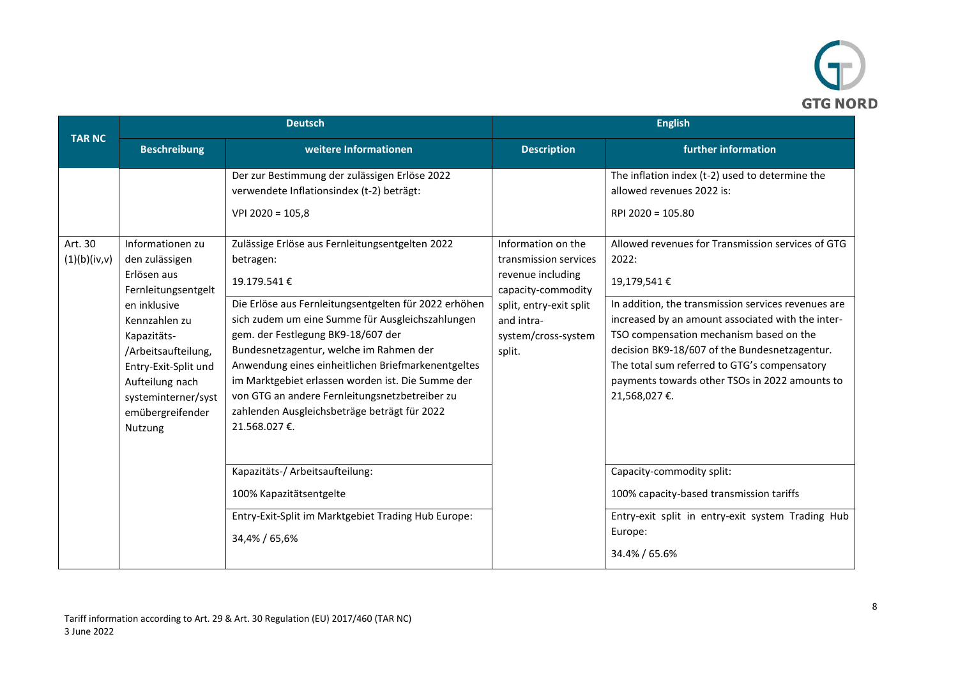

|               | <b>Deutsch</b>                                                                                                                                                         |                                                                                                                                                                                                                                                                                                                                                                                     | <b>English</b>                                                                                                                             |                                                                                                                                                                                                                                                                                                                                                |
|---------------|------------------------------------------------------------------------------------------------------------------------------------------------------------------------|-------------------------------------------------------------------------------------------------------------------------------------------------------------------------------------------------------------------------------------------------------------------------------------------------------------------------------------------------------------------------------------|--------------------------------------------------------------------------------------------------------------------------------------------|------------------------------------------------------------------------------------------------------------------------------------------------------------------------------------------------------------------------------------------------------------------------------------------------------------------------------------------------|
| <b>TAR NC</b> | <b>Beschreibung</b>                                                                                                                                                    | weitere Informationen                                                                                                                                                                                                                                                                                                                                                               | <b>Description</b>                                                                                                                         | further information                                                                                                                                                                                                                                                                                                                            |
| Art. 30       | Informationen zu                                                                                                                                                       | Der zur Bestimmung der zulässigen Erlöse 2022<br>verwendete Inflationsindex (t-2) beträgt:<br>$VPI 2020 = 105,8$<br>Zulässige Erlöse aus Fernleitungsentgelten 2022                                                                                                                                                                                                                 | Information on the                                                                                                                         | The inflation index (t-2) used to determine the<br>allowed revenues 2022 is:<br>RPI 2020 = 105.80<br>Allowed revenues for Transmission services of GTG                                                                                                                                                                                         |
| (1)(b)(iv,v)  | den zulässigen<br>Erlösen aus<br>Fernleitungsentgelt<br>en inklusive<br>Kennzahlen zu<br>Kapazitäts-<br>/Arbeitsaufteilung,<br>Entry-Exit-Split und<br>Aufteilung nach | betragen:<br>19.179.541€<br>Die Erlöse aus Fernleitungsentgelten für 2022 erhöhen<br>sich zudem um eine Summe für Ausgleichszahlungen<br>gem. der Festlegung BK9-18/607 der<br>Bundesnetzagentur, welche im Rahmen der<br>Anwendung eines einheitlichen Briefmarkenentgeltes<br>im Marktgebiet erlassen worden ist. Die Summe der<br>von GTG an andere Fernleitungsnetzbetreiber zu | transmission services<br>revenue including<br>capacity-commodity<br>split, entry-exit split<br>and intra-<br>system/cross-system<br>split. | 2022:<br>19,179,541€<br>In addition, the transmission services revenues are<br>increased by an amount associated with the inter-<br>TSO compensation mechanism based on the<br>decision BK9-18/607 of the Bundesnetzagentur.<br>The total sum referred to GTG's compensatory<br>payments towards other TSOs in 2022 amounts to<br>21,568,027€. |
|               | systeminterner/syst<br>emübergreifender<br>Nutzung                                                                                                                     | zahlenden Ausgleichsbeträge beträgt für 2022<br>21.568.027€.<br>Kapazitäts-/ Arbeitsaufteilung:<br>100% Kapazitätsentgelte<br>Entry-Exit-Split im Marktgebiet Trading Hub Europe:<br>34,4% / 65,6%                                                                                                                                                                                  |                                                                                                                                            | Capacity-commodity split:<br>100% capacity-based transmission tariffs<br>Entry-exit split in entry-exit system Trading Hub<br>Europe:<br>34.4% / 65.6%                                                                                                                                                                                         |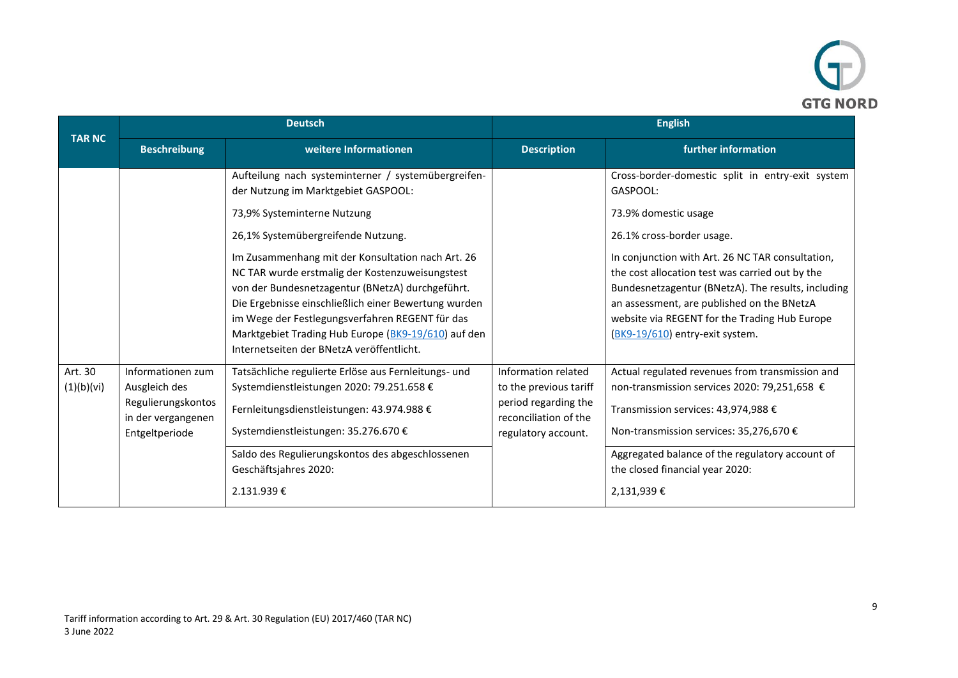

|                       | <b>Deutsch</b>                                                                                   |                                                                                                                                                                                                                                                                                                                                                                                                                                                                                                                                            | <b>English</b>                                                                                                        |                                                                                                                                                                                                                                                                                                                                                                                                                  |
|-----------------------|--------------------------------------------------------------------------------------------------|--------------------------------------------------------------------------------------------------------------------------------------------------------------------------------------------------------------------------------------------------------------------------------------------------------------------------------------------------------------------------------------------------------------------------------------------------------------------------------------------------------------------------------------------|-----------------------------------------------------------------------------------------------------------------------|------------------------------------------------------------------------------------------------------------------------------------------------------------------------------------------------------------------------------------------------------------------------------------------------------------------------------------------------------------------------------------------------------------------|
| <b>TAR NC</b>         | <b>Beschreibung</b>                                                                              | weitere Informationen                                                                                                                                                                                                                                                                                                                                                                                                                                                                                                                      | <b>Description</b>                                                                                                    | further information                                                                                                                                                                                                                                                                                                                                                                                              |
|                       |                                                                                                  | Aufteilung nach systeminterner / systemübergreifen-<br>der Nutzung im Marktgebiet GASPOOL:<br>73,9% Systeminterne Nutzung<br>26,1% Systemübergreifende Nutzung.<br>Im Zusammenhang mit der Konsultation nach Art. 26<br>NC TAR wurde erstmalig der Kostenzuweisungstest<br>von der Bundesnetzagentur (BNetzA) durchgeführt.<br>Die Ergebnisse einschließlich einer Bewertung wurden<br>im Wege der Festlegungsverfahren REGENT für das<br>Marktgebiet Trading Hub Europe (BK9-19/610) auf den<br>Internetseiten der BNetzA veröffentlicht. |                                                                                                                       | Cross-border-domestic split in entry-exit system<br>GASPOOL:<br>73.9% domestic usage<br>26.1% cross-border usage.<br>In conjunction with Art. 26 NC TAR consultation,<br>the cost allocation test was carried out by the<br>Bundesnetzagentur (BNetzA). The results, including<br>an assessment, are published on the BNetzA<br>website via REGENT for the Trading Hub Europe<br>(BK9-19/610) entry-exit system. |
| Art. 30<br>(1)(b)(vi) | Informationen zum<br>Ausgleich des<br>Regulierungskontos<br>in der vergangenen<br>Entgeltperiode | Tatsächliche regulierte Erlöse aus Fernleitungs- und<br>Systemdienstleistungen 2020: 79.251.658 €<br>Fernleitungsdienstleistungen: 43.974.988 €<br>Systemdienstleistungen: 35.276.670 €<br>Saldo des Regulierungskontos des abgeschlossenen<br>Geschäftsjahres 2020:<br>2.131.939€                                                                                                                                                                                                                                                         | Information related<br>to the previous tariff<br>period regarding the<br>reconciliation of the<br>regulatory account. | Actual regulated revenues from transmission and<br>non-transmission services 2020: 79,251,658 €<br>Transmission services: 43,974,988 €<br>Non-transmission services: 35,276,670 €<br>Aggregated balance of the regulatory account of<br>the closed financial year 2020:<br>2,131,939€                                                                                                                            |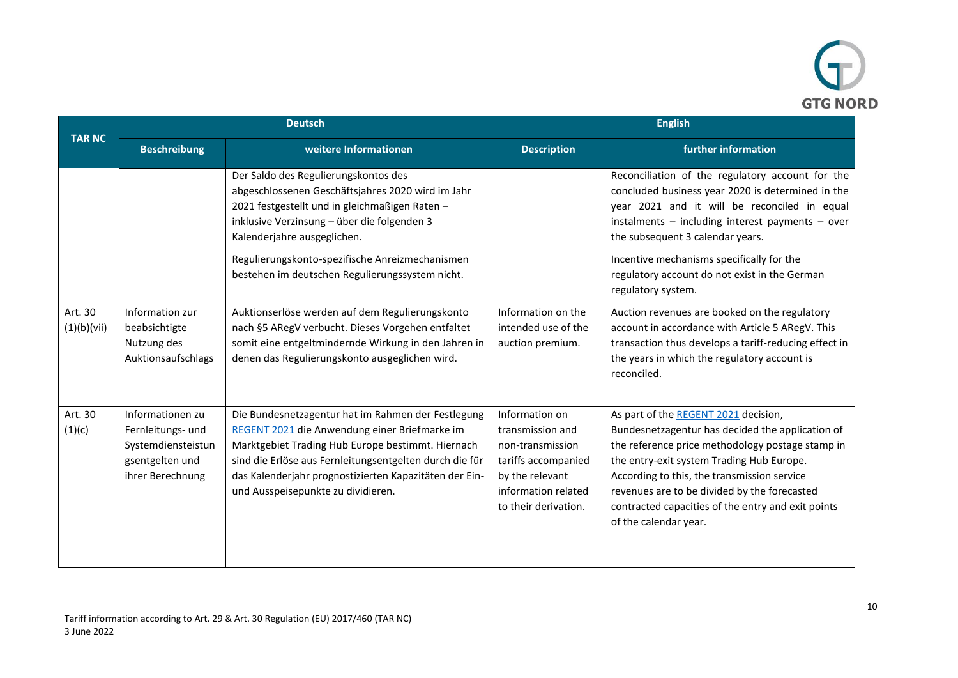

| <b>TAR NC</b>          | <b>Deutsch</b>                                                                                     |                                                                                                                                                                                                                                                                                                                                 | <b>English</b>                                                                                                                                  |                                                                                                                                                                                                                                                                                                                                                                         |
|------------------------|----------------------------------------------------------------------------------------------------|---------------------------------------------------------------------------------------------------------------------------------------------------------------------------------------------------------------------------------------------------------------------------------------------------------------------------------|-------------------------------------------------------------------------------------------------------------------------------------------------|-------------------------------------------------------------------------------------------------------------------------------------------------------------------------------------------------------------------------------------------------------------------------------------------------------------------------------------------------------------------------|
|                        | <b>Beschreibung</b>                                                                                | weitere Informationen                                                                                                                                                                                                                                                                                                           | <b>Description</b>                                                                                                                              | further information                                                                                                                                                                                                                                                                                                                                                     |
|                        |                                                                                                    | Der Saldo des Regulierungskontos des<br>abgeschlossenen Geschäftsjahres 2020 wird im Jahr<br>2021 festgestellt und in gleichmäßigen Raten -<br>inklusive Verzinsung - über die folgenden 3<br>Kalenderjahre ausgeglichen.<br>Regulierungskonto-spezifische Anreizmechanismen<br>bestehen im deutschen Regulierungssystem nicht. |                                                                                                                                                 | Reconciliation of the regulatory account for the<br>concluded business year 2020 is determined in the<br>year 2021 and it will be reconciled in equal<br>instalments - including interest payments - over<br>the subsequent 3 calendar years.<br>Incentive mechanisms specifically for the<br>regulatory account do not exist in the German<br>regulatory system.       |
| Art. 30<br>(1)(b)(vii) | Information zur<br>beabsichtigte<br>Nutzung des<br>Auktionsaufschlags                              | Auktionserlöse werden auf dem Regulierungskonto<br>nach §5 ARegV verbucht. Dieses Vorgehen entfaltet<br>somit eine entgeltmindernde Wirkung in den Jahren in<br>denen das Regulierungskonto ausgeglichen wird.                                                                                                                  | Information on the<br>intended use of the<br>auction premium.                                                                                   | Auction revenues are booked on the regulatory<br>account in accordance with Article 5 ARegV. This<br>transaction thus develops a tariff-reducing effect in<br>the years in which the regulatory account is<br>reconciled.                                                                                                                                               |
| Art. 30<br>(1)(c)      | Informationen zu<br>Fernleitungs- und<br>Systemdiensteistun<br>gsentgelten und<br>ihrer Berechnung | Die Bundesnetzagentur hat im Rahmen der Festlegung<br>REGENT 2021 die Anwendung einer Briefmarke im<br>Marktgebiet Trading Hub Europe bestimmt. Hiernach<br>sind die Erlöse aus Fernleitungsentgelten durch die für<br>das Kalenderjahr prognostizierten Kapazitäten der Ein-<br>und Ausspeisepunkte zu dividieren.             | Information on<br>transmission and<br>non-transmission<br>tariffs accompanied<br>by the relevant<br>information related<br>to their derivation. | As part of the REGENT 2021 decision,<br>Bundesnetzagentur has decided the application of<br>the reference price methodology postage stamp in<br>the entry-exit system Trading Hub Europe.<br>According to this, the transmission service<br>revenues are to be divided by the forecasted<br>contracted capacities of the entry and exit points<br>of the calendar year. |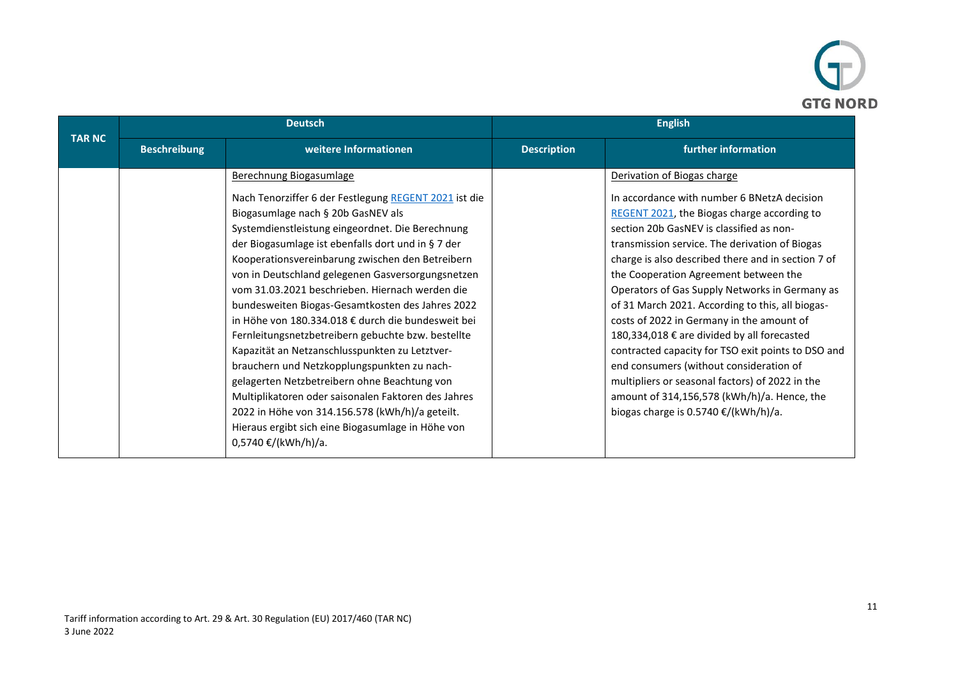

|               | <b>Deutsch</b>      |                                                                                                                                                                                                                                                                                                                                                                                                                                                                                                                                                                                                                                                                                                                                                                                                                                                   | <b>English</b>     |                                                                                                                                                                                                                                                                                                                                                                                                                                                                                                                                                                                                                                                                                                                                      |
|---------------|---------------------|---------------------------------------------------------------------------------------------------------------------------------------------------------------------------------------------------------------------------------------------------------------------------------------------------------------------------------------------------------------------------------------------------------------------------------------------------------------------------------------------------------------------------------------------------------------------------------------------------------------------------------------------------------------------------------------------------------------------------------------------------------------------------------------------------------------------------------------------------|--------------------|--------------------------------------------------------------------------------------------------------------------------------------------------------------------------------------------------------------------------------------------------------------------------------------------------------------------------------------------------------------------------------------------------------------------------------------------------------------------------------------------------------------------------------------------------------------------------------------------------------------------------------------------------------------------------------------------------------------------------------------|
| <b>TAR NC</b> | <b>Beschreibung</b> | weitere Informationen                                                                                                                                                                                                                                                                                                                                                                                                                                                                                                                                                                                                                                                                                                                                                                                                                             | <b>Description</b> | further information                                                                                                                                                                                                                                                                                                                                                                                                                                                                                                                                                                                                                                                                                                                  |
|               |                     | Berechnung Biogasumlage                                                                                                                                                                                                                                                                                                                                                                                                                                                                                                                                                                                                                                                                                                                                                                                                                           |                    | Derivation of Biogas charge                                                                                                                                                                                                                                                                                                                                                                                                                                                                                                                                                                                                                                                                                                          |
|               |                     | Nach Tenorziffer 6 der Festlegung REGENT 2021 ist die<br>Biogasumlage nach § 20b GasNEV als<br>Systemdienstleistung eingeordnet. Die Berechnung<br>der Biogasumlage ist ebenfalls dort und in § 7 der<br>Kooperationsvereinbarung zwischen den Betreibern<br>von in Deutschland gelegenen Gasversorgungsnetzen<br>vom 31.03.2021 beschrieben. Hiernach werden die<br>bundesweiten Biogas-Gesamtkosten des Jahres 2022<br>in Höhe von 180.334.018 € durch die bundesweit bei<br>Fernleitungsnetzbetreibern gebuchte bzw. bestellte<br>Kapazität an Netzanschlusspunkten zu Letztver-<br>brauchern und Netzkopplungspunkten zu nach-<br>gelagerten Netzbetreibern ohne Beachtung von<br>Multiplikatoren oder saisonalen Faktoren des Jahres<br>2022 in Höhe von 314.156.578 (kWh/h)/a geteilt.<br>Hieraus ergibt sich eine Biogasumlage in Höhe von |                    | In accordance with number 6 BNetzA decision<br>REGENT 2021, the Biogas charge according to<br>section 20b GasNEV is classified as non-<br>transmission service. The derivation of Biogas<br>charge is also described there and in section 7 of<br>the Cooperation Agreement between the<br>Operators of Gas Supply Networks in Germany as<br>of 31 March 2021. According to this, all biogas-<br>costs of 2022 in Germany in the amount of<br>180,334,018 € are divided by all forecasted<br>contracted capacity for TSO exit points to DSO and<br>end consumers (without consideration of<br>multipliers or seasonal factors) of 2022 in the<br>amount of 314,156,578 (kWh/h)/a. Hence, the<br>biogas charge is 0.5740 €/(kWh/h)/a. |
|               |                     | 0,5740 €/(kWh/h)/a.                                                                                                                                                                                                                                                                                                                                                                                                                                                                                                                                                                                                                                                                                                                                                                                                                               |                    |                                                                                                                                                                                                                                                                                                                                                                                                                                                                                                                                                                                                                                                                                                                                      |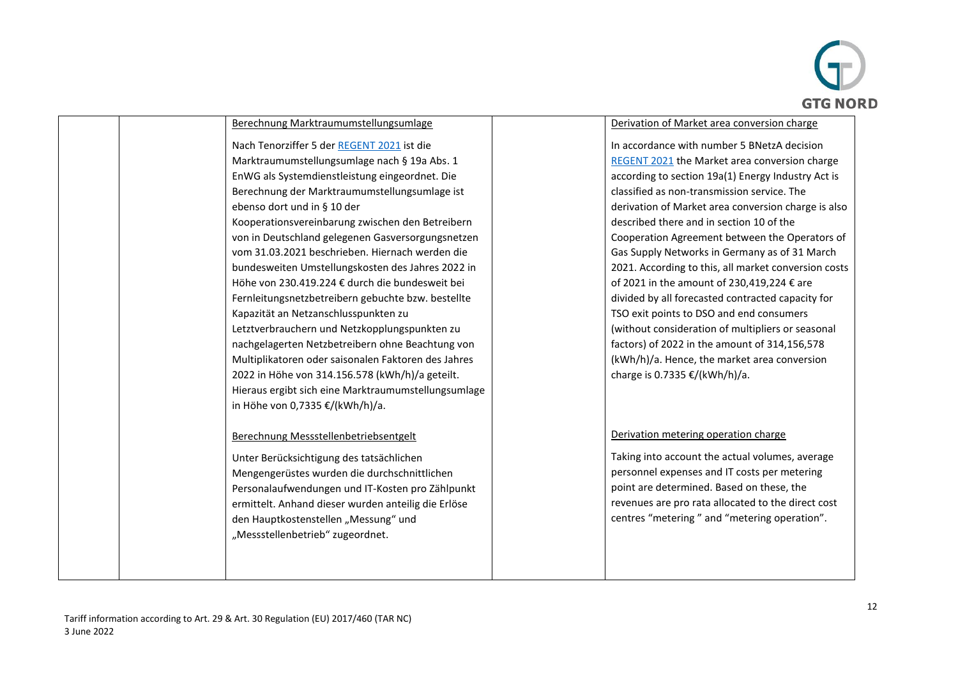

| Berechnung Marktraumumstellungsumlage                                                                                                                                                                                                                                                                                                                                                                                                                                                                                                                                                                                                                                                                                                                                                                                                                                                                   | Derivation of Market area conversion charge                                                                                                                                                                                                                                                                                                                                                                                                                                                                                                                                                                                                                                                                                                                                                           |
|---------------------------------------------------------------------------------------------------------------------------------------------------------------------------------------------------------------------------------------------------------------------------------------------------------------------------------------------------------------------------------------------------------------------------------------------------------------------------------------------------------------------------------------------------------------------------------------------------------------------------------------------------------------------------------------------------------------------------------------------------------------------------------------------------------------------------------------------------------------------------------------------------------|-------------------------------------------------------------------------------------------------------------------------------------------------------------------------------------------------------------------------------------------------------------------------------------------------------------------------------------------------------------------------------------------------------------------------------------------------------------------------------------------------------------------------------------------------------------------------------------------------------------------------------------------------------------------------------------------------------------------------------------------------------------------------------------------------------|
| Nach Tenorziffer 5 der REGENT 2021 ist die<br>Marktraumumstellungsumlage nach § 19a Abs. 1<br>EnWG als Systemdienstleistung eingeordnet. Die<br>Berechnung der Marktraumumstellungsumlage ist<br>ebenso dort und in § 10 der<br>Kooperationsvereinbarung zwischen den Betreibern<br>von in Deutschland gelegenen Gasversorgungsnetzen<br>vom 31.03.2021 beschrieben. Hiernach werden die<br>bundesweiten Umstellungskosten des Jahres 2022 in<br>Höhe von 230.419.224 € durch die bundesweit bei<br>Fernleitungsnetzbetreibern gebuchte bzw. bestellte<br>Kapazität an Netzanschlusspunkten zu<br>Letztverbrauchern und Netzkopplungspunkten zu<br>nachgelagerten Netzbetreibern ohne Beachtung von<br>Multiplikatoren oder saisonalen Faktoren des Jahres<br>2022 in Höhe von 314.156.578 (kWh/h)/a geteilt.<br>Hieraus ergibt sich eine Marktraumumstellungsumlage<br>in Höhe von 0,7335 €/(kWh/h)/a. | In accordance with number 5 BNetzA decision<br>REGENT 2021 the Market area conversion charge<br>according to section 19a(1) Energy Industry Act is<br>classified as non-transmission service. The<br>derivation of Market area conversion charge is also<br>described there and in section 10 of the<br>Cooperation Agreement between the Operators of<br>Gas Supply Networks in Germany as of 31 March<br>2021. According to this, all market conversion costs<br>of 2021 in the amount of 230,419,224 € are<br>divided by all forecasted contracted capacity for<br>TSO exit points to DSO and end consumers<br>(without consideration of multipliers or seasonal<br>factors) of 2022 in the amount of 314,156,578<br>(kWh/h)/a. Hence, the market area conversion<br>charge is 0.7335 €/(kWh/h)/a. |
| Berechnung Messstellenbetriebsentgelt<br>Unter Berücksichtigung des tatsächlichen<br>Mengengerüstes wurden die durchschnittlichen<br>Personalaufwendungen und IT-Kosten pro Zählpunkt<br>ermittelt. Anhand dieser wurden anteilig die Erlöse<br>den Hauptkostenstellen "Messung" und<br>"Messstellenbetrieb" zugeordnet.                                                                                                                                                                                                                                                                                                                                                                                                                                                                                                                                                                                | Derivation metering operation charge<br>Taking into account the actual volumes, average<br>personnel expenses and IT costs per metering<br>point are determined. Based on these, the<br>revenues are pro rata allocated to the direct cost<br>centres "metering" and "metering operation".                                                                                                                                                                                                                                                                                                                                                                                                                                                                                                            |